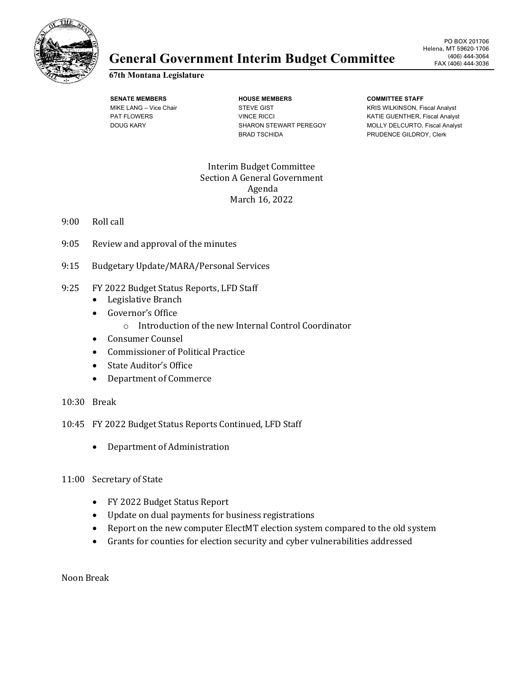

## General Government Interim Budget Committee (406) 444-3064

## **67th Montana Legislature**

**SENATE MEMBERS HOUSE MEMBERS COMMITTEE STAFF** MIKE LANG – Vice Chair **STEVE GIST** STEVE GIST **KRIS WILKINSON, Fiscal Analyst** BRAD TSCHIDA **PRUDENCE GILDROY, Clerk** 

PAT FLOWERS **EXECUTE:** VINCE RICCI WINCE RICCI KATIE GUENTHER, Fiscal Analyst DOUG KARY SHARON STEWART PEREGOY MOLLY DELCURTO, Fiscal Analyst

> Interim Budget Committee Section A General Government Agenda March 16, 2022

- 9:00 Roll call
- 9:05 Review and approval of the minutes
- 9:15 Budgetary Update/MARA/Personal Services
- 9:25 FY 2022 Budget Status Reports, LFD Staff
	- Legislative Branch
	- Governor's Office
		- o Introduction of the new Internal Control Coordinator
	- Consumer Counsel
	- Commissioner of Political Practice
	- State Auditor's Office
	- Department of Commerce
- 10:30 Break
- 10:45 FY 2022 Budget Status Reports Continued, LFD Staff
	- Department of Administration

## 11:00 Secretary of State

- FY 2022 Budget Status Report
- Update on dual payments for business registrations
- Report on the new computer ElectMT election system compared to the old system
- Grants for counties for election security and cyber vulnerabilities addressed

Noon Break